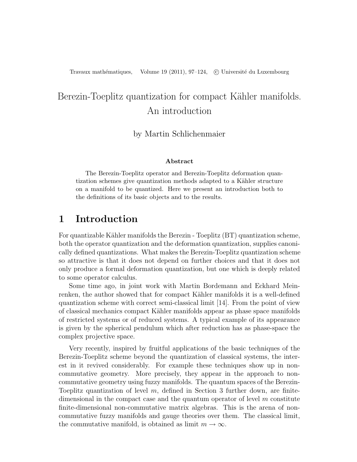# Berezin-Toeplitz quantization for compact Kähler manifolds. An introduction

## by Martin Schlichenmaier

#### Abstract

The Berezin-Toeplitz operator and Berezin-Toeplitz deformation quantization schemes give quantization methods adapted to a Kähler structure on a manifold to be quantized. Here we present an introduction both to the definitions of its basic objects and to the results.

# 1 Introduction

For quantizable Kähler manifolds the Berezin - Toeplitz (BT) quantization scheme, both the operator quantization and the deformation quantization, supplies canonically defined quantizations. What makes the Berezin-Toeplitz quantization scheme so attractive is that it does not depend on further choices and that it does not only produce a formal deformation quantization, but one which is deeply related to some operator calculus.

Some time ago, in joint work with Martin Bordemann and Eckhard Meinrenken, the author showed that for compact Kähler manifolds it is a well-defined quantization scheme with correct semi-classical limit [14]. From the point of view of classical mechanics compact K¨ahler manifolds appear as phase space manifolds of restricted systems or of reduced systems. A typical example of its appearance is given by the spherical pendulum which after reduction has as phase-space the complex projective space.

Very recently, inspired by fruitful applications of the basic techniques of the Berezin-Toeplitz scheme beyond the quantization of classical systems, the interest in it revived considerably. For example these techniques show up in noncommutative geometry. More precisely, they appear in the approach to noncommutative geometry using fuzzy manifolds. The quantum spaces of the Berezin-Toeplitz quantization of level  $m$ , defined in Section 3 further down, are finitedimensional in the compact case and the quantum operator of level  $m$  constitute finite-dimensional non-commutative matrix algebras. This is the arena of noncommutative fuzzy manifolds and gauge theories over them. The classical limit, the commutative manifold, is obtained as limit  $m \to \infty$ .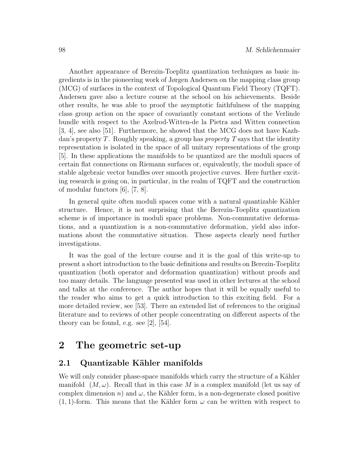Another appearance of Berezin-Toeplitz quantization techniques as basic ingredients is in the pioneering work of Jørgen Andersen on the mapping class group (MCG) of surfaces in the context of Topological Quantum Field Theory (TQFT). Andersen gave also a lecture course at the school on his achievements. Beside other results, he was able to proof the asymptotic faithfulness of the mapping class group action on the space of covariantly constant sections of the Verlinde bundle with respect to the Axelrod-Witten-de la Pietra and Witten connection [3, 4], see also [51]. Furthermore, he showed that the MCG does not have Kazhdan's property  $T$ . Roughly speaking, a group has *property*  $T$  says that the identity representation is isolated in the space of all unitary representations of the group [5]. In these applications the manifolds to be quantized are the moduli spaces of certain flat connections on Riemann surfaces or, equivalently, the moduli space of stable algebraic vector bundles over smooth projective curves. Here further exciting research is going on, in particular, in the realm of TQFT and the construction of modular functors [6], [7, 8].

In general quite often moduli spaces come with a natural quantizable Kähler structure. Hence, it is not surprising that the Berezin-Toeplitz quantization scheme is of importance in moduli space problems. Non-commutative deformations, and a quantization is a non-commutative deformation, yield also informations about the commutative situation. These aspects clearly need further investigations.

It was the goal of the lecture course and it is the goal of this write-up to present a short introduction to the basic definitions and results on Berezin-Toeplitz quantization (both operator and deformation quantization) without proofs and too many details. The language presented was used in other lectures at the school and talks at the conference. The author hopes that it will be equally useful to the reader who aims to get a quick introduction to this exciting field. For a more detailed review, see [53]. There an extended list of references to the original literature and to reviews of other people concentrating on different aspects of the theory can be found, e.g. see [2], [54].

# 2 The geometric set-up

# 2.1 Quantizable Kähler manifolds

We will only consider phase-space manifolds which carry the structure of a Kähler manifold  $(M, \omega)$ . Recall that in this case M is a complex manifold (let us say of complex dimension n) and  $\omega$ , the Kähler form, is a non-degenerate closed positive  $(1, 1)$ -form. This means that the Kähler form  $\omega$  can be written with respect to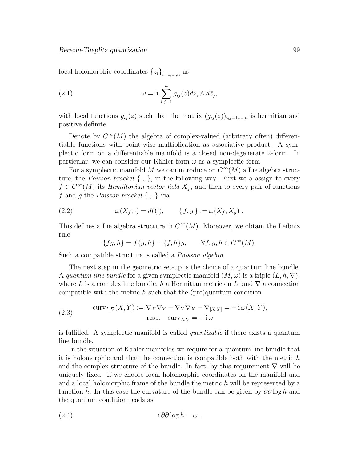local holomorphic coordinates  ${z_i}_{i=1,\ldots,n}$  as

(2.1) 
$$
\omega = i \sum_{i,j=1}^{n} g_{ij}(z) dz_i \wedge d\overline{z}_j,
$$

with local functions  $g_{ij}(z)$  such that the matrix  $(g_{ij}(z))_{i,j=1,\dots,n}$  is hermitian and positive definite.

Denote by  $C^{\infty}(M)$  the algebra of complex-valued (arbitrary often) differentiable functions with point-wise multiplication as associative product. A symplectic form on a differentiable manifold is a closed non-degenerate 2-form. In particular, we can consider our Kähler form  $\omega$  as a symplectic form.

For a symplectic manifold M we can introduce on  $C^{\infty}(M)$  a Lie algebra structure, the *Poisson bracket*  $\{.,.\}$ , in the following way. First we a assign to every  $f \in C^{\infty}(M)$  its Hamiltonian vector field  $X_f$ , and then to every pair of functions f and g the Poisson bracket  $\{.,.\}$  via

(2.2) 
$$
\omega(X_f, \cdot) = df(\cdot), \qquad \{f, g\} := \omega(X_f, X_g) .
$$

This defines a Lie algebra structure in  $C^{\infty}(M)$ . Moreover, we obtain the Leibniz rule

$$
\{fg, h\} = f\{g, h\} + \{f, h\}g, \qquad \forall f, g, h \in C^{\infty}(M).
$$

Such a compatible structure is called a *Poisson algebra*.

The next step in the geometric set-up is the choice of a quantum line bundle. A quantum line bundle for a given symplectic manifold  $(M, \omega)$  is a triple  $(L, h, \nabla)$ , where L is a complex line bundle, h a Hermitian metric on L, and  $\nabla$  a connection compatible with the metric  $h$  such that the (pre)quantum condition

(2.3) 
$$
\operatorname{curv}_{L,\nabla}(X,Y) := \nabla_X \nabla_Y - \nabla_Y \nabla_X - \nabla_{[X,Y]} = -\operatorname{i} \omega(X,Y),
$$

$$
\operatorname{resp.} \operatorname{curv}_{L,\nabla} = -\operatorname{i} \omega
$$

is fulfilled. A symplectic manifold is called quantizable if there exists a quantum line bundle.

In the situation of Kähler manifolds we require for a quantum line bundle that it is holomorphic and that the connection is compatible both with the metric h and the complex structure of the bundle. In fact, by this requirement  $\nabla$  will be uniquely fixed. If we choose local holomorphic coordinates on the manifold and and a local holomorphic frame of the bundle the metric h will be represented by a function h. In this case the curvature of the bundle can be given by  $\overline{\partial}\partial \log \hat{h}$  and the quantum condition reads as

(2.4) 
$$
i \,\overline{\partial}\partial \log \hat{h} = \omega \; .
$$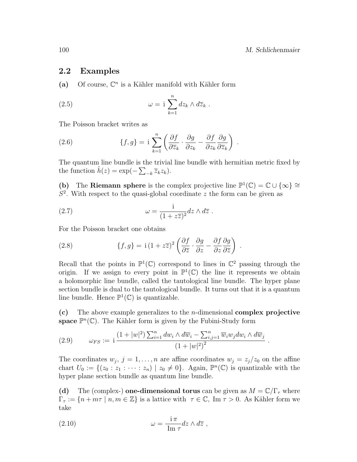.

.

.

## 2.2 Examples

(a) Of course,  $\mathbb{C}^n$  is a Kähler manifold with Kähler form

(2.5) 
$$
\omega = i \sum_{k=1}^{n} dz_k \wedge d\overline{z}_k .
$$

The Poisson bracket writes as

(2.6) 
$$
\{f,g\} = \mathbf{i}\sum_{k=1}^{n} \left(\frac{\partial f}{\partial \overline{z}_k} \cdot \frac{\partial g}{\partial z_k} - \frac{\partial f}{\partial z_k} \frac{\partial g}{\partial \overline{z}_k}\right)
$$

The quantum line bundle is the trivial line bundle with hermitian metric fixed by the function  $\hat{h}(z) = \exp(-\sum_{-k} \overline{z}_k z_k)$ .

(b) The Riemann sphere is the complex projective line  $\mathbb{P}^1(\mathbb{C}) = \mathbb{C} \cup \{\infty\} \cong$  $S<sup>2</sup>$ . With respect to the quasi-global coordinate z the form can be given as

(2.7) 
$$
\omega = \frac{1}{(1 + z\overline{z})^2} dz \wedge d\overline{z} .
$$

For the Poisson bracket one obtains

(2.8) 
$$
\{f,g\} = i(1+z\overline{z})^2 \left(\frac{\partial f}{\partial \overline{z}} \cdot \frac{\partial g}{\partial z} - \frac{\partial f}{\partial z} \frac{\partial g}{\partial \overline{z}}\right)
$$

Recall that the points in  $\mathbb{P}^1(\mathbb{C})$  correspond to lines in  $\mathbb{C}^2$  passing through the origin. If we assign to every point in  $\mathbb{P}^1(\mathbb{C})$  the line it represents we obtain a holomorphic line bundle, called the tautological line bundle. The hyper plane section bundle is dual to the tautological bundle. It turns out that it is a quantum line bundle. Hence  $\mathbb{P}^1(\mathbb{C})$  is quantizable.

(c) The above example generalizes to the *n*-dimensional **complex projective** space  $\mathbb{P}^n(\mathbb{C})$ . The Kähler form is given by the Fubini-Study form

(2.9) 
$$
\omega_{FS} := i \frac{(1+|w|^2) \sum_{i=1}^n dw_i \wedge d\overline{w}_i - \sum_{i,j=1}^n \overline{w}_i w_j dw_i \wedge d\overline{w}_j}{(1+|w|^2)^2}
$$

The coordinates  $w_j$ ,  $j = 1, \ldots, n$  are affine coordinates  $w_j = z_j/z_0$  on the affine chart  $U_0 := \{ (z_0 : z_1 : \cdots : z_n) \mid z_0 \neq 0 \}.$  Again,  $\mathbb{P}^n(\mathbb{C})$  is quantizable with the hyper plane section bundle as quantum line bundle.

(d) The (complex-) one-dimensional torus can be given as  $M = \mathbb{C}/\Gamma_\tau$  where  $\Gamma_{\tau} := \{n + m\tau \mid n, m \in \mathbb{Z}\}\$ is a lattice with  $\tau \in \mathbb{C}$ , Im  $\tau > 0$ . As Kähler form we take

(2.10) 
$$
\omega = \frac{\mathrm{i}\,\pi}{\mathrm{Im}\,\tau} dz \wedge d\overline{z} ,
$$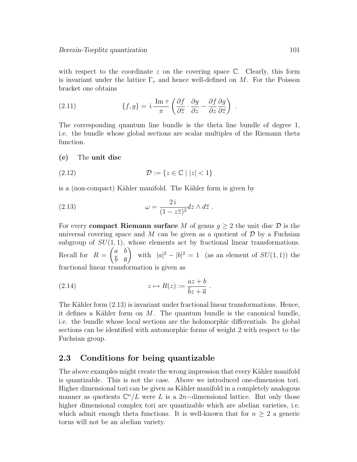with respect to the coordinate  $z$  on the covering space  $\mathbb{C}$ . Clearly, this form is invariant under the lattice  $\Gamma_{\tau}$  and hence well-defined on M. For the Poisson bracket one obtains

(2.11) 
$$
\{f,g\} = \mathrm{i} \frac{\mathrm{Im} \,\tau}{\pi} \left( \frac{\partial f}{\partial \overline{z}} \cdot \frac{\partial g}{\partial z} - \frac{\partial f}{\partial z} \frac{\partial g}{\partial \overline{z}} \right) .
$$

The corresponding quantum line bundle is the theta line bundle of degree 1, i.e. the bundle whose global sections are scalar multiples of the Riemann theta function.

#### (e) The unit disc

$$
(2.12)\qquad \qquad \mathcal{D} := \{z \in \mathbb{C} \mid |z| < 1\}
$$

is a (non-compact) Kähler manifold. The Kähler form is given by

(2.13) 
$$
\omega = \frac{2i}{(1 - z\overline{z})^2} dz \wedge d\overline{z} .
$$

For every **compact Riemann surface** M of genus  $q > 2$  the unit disc D is the universal covering space and M can be given as a quotient of  $\mathcal D$  by a Fuchsian subgroup of  $SU(1,1)$ , whose elements act by fractional linear transformations. Recall for  $R =$  $\int a b$  $b \quad \overline{a}$  $\setminus$ with  $|a|^2 - |b|^2 = 1$  (as an element of  $SU(1,1)$ ) the fractional linear transformation is given as

(2.14) 
$$
z \mapsto R(z) := \frac{az+b}{\overline{b}z + \overline{a}}.
$$

The Kähler form  $(2.13)$  is invariant under fractional linear transformations. Hence, it defines a Kähler form on  $M$ . The quantum bundle is the canonical bundle, i.e. the bundle whose local sections are the holomorphic differentials. Its global sections can be identified with automorphic forms of weight 2 with respect to the Fuchsian group.

## 2.3 Conditions for being quantizable

The above examples might create the wrong impression that every Kähler manifold is quantizable. This is not the case. Above we introduced one-dimension tori. Higher dimensional tori can be given as Kähler manifold in a completely analogous manner as quotients  $\mathbb{C}^n/L$  were L is a 2n-dimensional lattice. But only those higher dimensional complex tori are quantizable which are abelian varieties, i.e. which admit enough theta functions. It is well-known that for  $n \geq 2$  a generic torus will not be an abelian variety.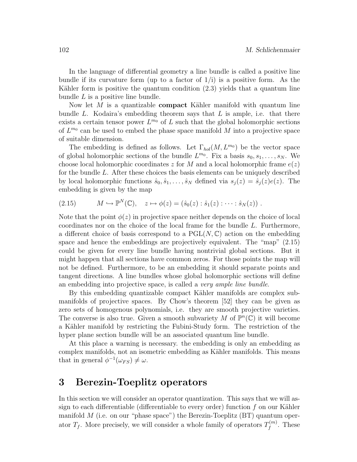In the language of differential geometry a line bundle is called a positive line bundle if its curvature form (up to a factor of  $1/i$ ) is a positive form. As the Kähler form is positive the quantum condition  $(2.3)$  yields that a quantum line bundle  $L$  is a positive line bundle.

Now let  $M$  is a quantizable **compact** Kähler manifold with quantum line bundle L. Kodaira's embedding theorem says that L is ample, i.e. that there exists a certain tensor power  $L^{m_0}$  of L such that the global holomorphic sections of  $L^{m_0}$  can be used to embed the phase space manifold M into a projective space of suitable dimension.

The embedding is defined as follows. Let  $\Gamma_{hol}(M, L^{m_0})$  be the vector space of global holomorphic sections of the bundle  $L^{m_0}$ . Fix a basis  $s_0, s_1, \ldots, s_N$ . We choose local holomorphic coordinates z for M and a local holomorphic frame  $e(z)$ for the bundle L. After these choices the basis elements can be uniquely described by local holomorphic functions  $\hat{s}_0, \hat{s}_1, \ldots, \hat{s}_N$  defined via  $s_i(z) = \hat{s}_i(z)e(z)$ . The embedding is given by the map

(2.15) 
$$
M \hookrightarrow \mathbb{P}^N(\mathbb{C}), \quad z \mapsto \phi(z) = (\hat{s}_0(z) : \hat{s}_1(z) : \cdots : \hat{s}_N(z)).
$$

Note that the point  $\phi(z)$  in projective space neither depends on the choice of local coordinates nor on the choice of the local frame for the bundle L. Furthermore, a different choice of basis correspond to a  $PGL(N,\mathbb{C})$  action on the embedding space and hence the embeddings are projectively equivalent. The "map" (2.15) could be given for every line bundle having nontrivial global sections. But it might happen that all sections have common zeros. For those points the map will not be defined. Furthermore, to be an embedding it should separate points and tangent directions. A line bundles whose global holomorphic sections will define an embedding into projective space, is called a very ample line bundle.

By this embedding quantizable compact Kähler manifolds are complex submanifolds of projective spaces. By Chow's theorem [52] they can be given as zero sets of homogenous polynomials, i.e. they are smooth projective varieties. The converse is also true. Given a smooth subvariety M of  $\mathbb{P}^n(\mathbb{C})$  it will become a Kähler manifold by restricting the Fubini-Study form. The restriction of the hyper plane section bundle will be an associated quantum line bundle.

At this place a warning is necessary. the embedding is only an embedding as complex manifolds, not an isometric embedding as Kähler manifolds. This means that in general  $\phi^{-1}(\omega_{FS}) \neq \omega$ .

# 3 Berezin-Toeplitz operators

In this section we will consider an operator quantization. This says that we will assign to each differentiable (differentiable to every order) function  $f$  on our Kähler manifold  $M$  (i.e. on our "phase space") the Berezin-Toeplitz  $(BT)$  quantum operator  $T_f$ . More precisely, we will consider a whole family of operators  $T_f^{(m)}$  $f^{(m)}$ . These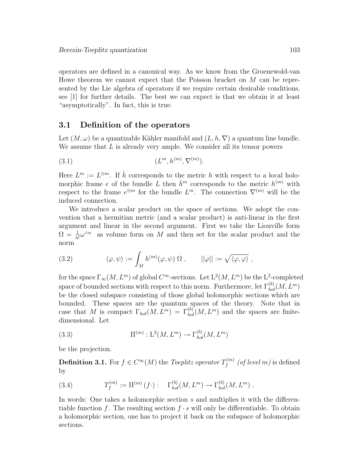operators are defined in a canonical way. As we know from the Groenewold-van Howe theorem we cannot expect that the Poisson bracket on M can be represented by the Lie algebra of operators if we require certain desirable conditions, see [1] for further details. The best we can expect is that we obtain it at least "asymptotically". In fact, this is true.

## 3.1 Definition of the operators

Let  $(M, \omega)$  be a quantizable Kähler manifold and  $(L, h, \nabla)$  a quantum line bundle. We assume that  $L$  is already very ample. We consider all its tensor powers

$$
(3.1) \qquad (L^m, h^{(m)}, \nabla^{(m)}).
$$

Here  $L^m := L^{\otimes m}$ . If  $\hat{h}$  corresponds to the metric h with respect to a local holomorphic frame e of the bundle L then  $\hat{h}^m$  corresponds to the metric  $h^{(m)}$  with respect to the frame  $e^{\otimes m}$  for the bundle  $L^m$ . The connection  $\nabla^{(m)}$  will be the induced connection.

We introduce a scalar product on the space of sections. We adopt the convention that a hermitian metric (and a scalar product) is anti-linear in the first argument and linear in the second argument. First we take the Liouville form  $\Omega = \frac{1}{n!} \omega^{\wedge n}$  as volume form on M and then set for the scalar product and the norm

(3.2) 
$$
\langle \varphi, \psi \rangle := \int_M h^{(m)}(\varphi, \psi) \Omega, \qquad ||\varphi|| := \sqrt{\langle \varphi, \varphi \rangle},
$$

for the space  $\Gamma_\infty(M,L^m)$  of global  $C^\infty$ -sections. Let  $L^2(M,L^m)$  be the  $L^2$ -completed space of bounded sections with respect to this norm. Furthermore, let  $\Gamma_{hol}^{(b)}(M,L^m)$ be the closed subspace consisting of those global holomorphic sections which are bounded. These spaces are the quantum spaces of the theory. Note that in case that M is compact  $\Gamma_{hol}(M, L^m) = \Gamma_{hol}^{(b)}(M, L^m)$  and the spaces are finitedimensional. Let

(3.3) 
$$
\Pi^{(m)}: \mathcal{L}^{2}(M, L^{m}) \to \Gamma_{hol}^{(b)}(M, L^{m})
$$

be the projection.

**Definition 3.1.** For  $f \in C^{\infty}(M)$  the Toeplitz operator  $T_f^{(m)}$  $\mathcal{F}_f^{(m)}$  (of level m) is defined by

(3.4) 
$$
T_f^{(m)} := \Pi^{(m)}(f \cdot) : \Gamma_{hol}^{(b)}(M, L^m) \to \Gamma_{hol}^{(b)}(M, L^m) .
$$

In words: One takes a holomorphic section s and multiplies it with the differentiable function f. The resulting section  $f \cdot s$  will only be differentiable. To obtain a holomorphic section, one has to project it back on the subspace of holomorphic sections.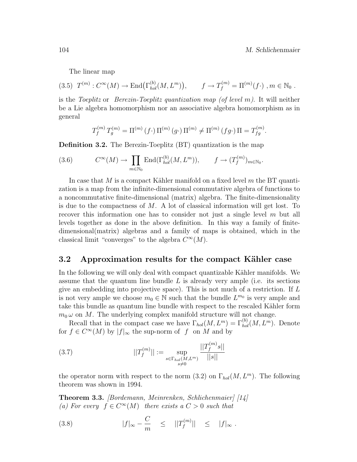The linear map

$$
(3.5) \ T^{(m)} : C^{\infty}(M) \to \text{End}(\Gamma_{hol}^{(b)}(M, L^m)), \qquad f \to T_f^{(m)} = \Pi^{(m)}(f \cdot), m \in \mathbb{N}_0.
$$

is the Toeplitz or Berezin-Toeplitz quantization map (of level m). It will neither be a Lie algebra homomorphism nor an associative algebra homomorphism as in general

$$
T_f^{(m)} T_g^{(m)} = \Pi^{(m)} (f \cdot) \Pi^{(m)} (g \cdot) \Pi^{(m)} \neq \Pi^{(m)} (fg \cdot) \Pi = T_{fg}^{(m)}.
$$

Definition 3.2. The Berezin-Toeplitz (BT) quantization is the map

(3.6) 
$$
C^{\infty}(M) \to \prod_{m \in \mathbb{N}_0} \text{End}(\Gamma_{hol}^{(b)}(M, L^m)), \qquad f \to (T_f^{(m)})_{m \in \mathbb{N}_0}.
$$

In case that M is a compact Kähler manifold on a fixed level  $m$  the BT quantization is a map from the infinite-dimensional commutative algebra of functions to a noncommutative finite-dimensional (matrix) algebra. The finite-dimensionality is due to the compactness of  $M$ . A lot of classical information will get lost. To recover this information one has to consider not just a single level  $m$  but all levels together as done in the above definition. In this way a family of finitedimensional(matrix) algebras and a family of maps is obtained, which in the classical limit "converges" to the algebra  $C^{\infty}(M)$ .

#### 3.2 Approximation results for the compact Kähler case

In the following we will only deal with compact quantizable Kähler manifolds. We assume that the quantum line bundle  $L$  is already very ample (i.e. its sections give an embedding into projective space). This is not much of a restriction. If L is not very ample we choose  $m_0 \in \mathbb{N}$  such that the bundle  $L^{m_0}$  is very ample and take this bundle as quantum line bundle with respect to the rescaled Kähler form  $m_0 \omega$  on M. The underlying complex manifold structure will not change.

Recall that in the compact case we have  $\Gamma_{hol}(M, L^m) = \Gamma_{hol}^{(b)}(M, L^m)$ . Denote for  $f \in C^{\infty}(M)$  by  $|f|_{\infty}$  the sup-norm of f on M and by

(3.7) 
$$
||T_f^{(m)}|| := \sup_{\substack{s \in \Gamma_{hol}(M, L^m) \\ s \neq 0}} \frac{||T_f^{(m)}s||}{||s||}
$$

the operator norm with respect to the norm  $(3.2)$  on  $\Gamma_{hol}(M, L^m)$ . The following theorem was shown in 1994.

Theorem 3.3. [Bordemann, Meinrenken, Schlichenmaier] [14] (a) For every  $f \in C^{\infty}(M)$  there exists a  $C > 0$  such that

(3.8) 
$$
|f|_{\infty} - \frac{C}{m} \le ||T_f^{(m)}|| \le |f|_{\infty}.
$$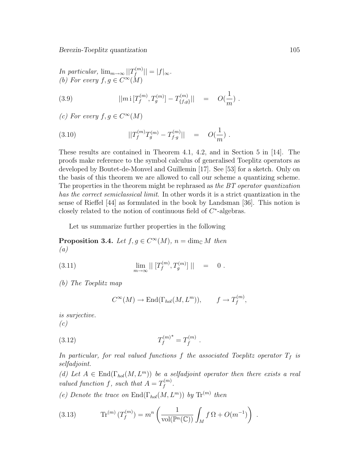In particular,  $\lim_{m\to\infty} ||T_f^{(m)}||$  $||f^{(m)}|| = |f|_{\infty}.$ (b) For every  $f, g \in C^{\infty}(M)$ 

(3.9) 
$$
||m \mathbf{i} [T_f^{(m)}, T_g^{(m)}] - T_{\{f,g\}}^{(m)}|| = O(\frac{1}{m}).
$$

(c) For every  $f, g \in C^{\infty}(M)$ 

(3.10) 
$$
||T_f^{(m)}T_g^{(m)} - T_{f \cdot g}^{(m)}|| = O(\frac{1}{m}).
$$

These results are contained in Theorem 4.1, 4.2, and in Section 5 in [14]. The proofs make reference to the symbol calculus of generalised Toeplitz operators as developed by Boutet-de-Monvel and Guillemin [17]. See [53] for a sketch. Only on the basis of this theorem we are allowed to call our scheme a quantizing scheme. The properties in the theorem might be rephrased as the BT operator quantization has the correct semiclassical limit. In other words it is a strict quantization in the sense of Rieffel [44] as formulated in the book by Landsman [36]. This notion is closely related to the notion of continuous field of  $C^*$ -algebras.

Let us summarize further properties in the following

**Proposition 3.4.** Let  $f, g \in C^{\infty}(M)$ ,  $n = \dim_{\mathbb{C}} M$  then (a)

(3.11) 
$$
\lim_{m \to \infty} || [T_f^{(m)}, T_g^{(m)}] || = 0.
$$

(b) The Toeplitz map

$$
C^{\infty}(M) \to \text{End}(\Gamma_{hol}(M, L^m)), \qquad f \to T_f^{(m)},
$$

is surjective.  $(c)$ 

(3.12) 
$$
T_f^{(m)^*} = T_{\bar{f}}^{(m)}.
$$

In particular, for real valued functions f the associated Toeplitz operator  $T_f$  is selfadjoint.

(d) Let  $A \in \text{End}(\Gamma_{hol}(M, L^m))$  be a selfadjoint operator then there exists a real valued function f, such that  $A = T_f^{(m)}$  $_{f}^{\scriptscriptstyle(m)}.$ 

(e) Denote the trace on  $\text{End}(\Gamma_{hol}(M, L^m))$  by  $\text{Tr}^{(m)}$  then

(3.13) 
$$
\text{Tr}^{(m)}\left(T_f^{(m)}\right) = m^n \left(\frac{1}{\text{vol}(\mathbb{P}^n(\mathbb{C}))} \int_M f \,\Omega + O(m^{-1})\right) \; .
$$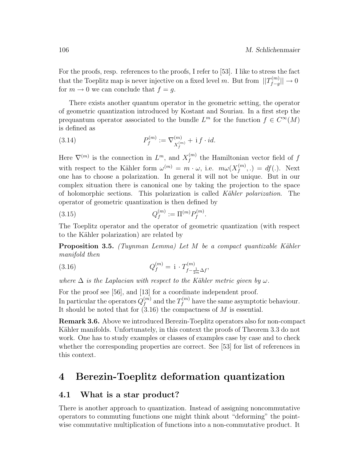For the proofs, resp. references to the proofs, I refer to [53]. I like to stress the fact that the Toeplitz map is never injective on a fixed level m. But from  $||T_{f-a}^{(m)}||$  $\frac{f^{(m)}}{f-g}$   $|\vert \rightarrow 0$ for  $m \to 0$  we can conclude that  $f = q$ .

There exists another quantum operator in the geometric setting, the operator of geometric quantization introduced by Kostant and Souriau. In a first step the prequantum operator associated to the bundle  $L^m$  for the function  $f \in C^{\infty}(M)$ is defined as

(3.14) 
$$
P_f^{(m)} := \nabla_{X_f^{(m)}}^{(m)} + i f \cdot id.
$$

Here  $\nabla^{(m)}$  is the connection in  $L^m$ , and  $X_f^{(m)}$  $f_f^{(m)}$  the Hamiltonian vector field of  $f$ with respect to the Kähler form  $\omega^{(m)} = m \cdot \omega$ , i.e.  $m \omega(X_f^{(m)})$  $f_f^{(m)},.) = df(.)$ . Next one has to choose a polarization. In general it will not be unique. But in our complex situation there is canonical one by taking the projection to the space of holomorphic sections. This polarization is called Kähler polarization. The operator of geometric quantization is then defined by

(3.15) 
$$
Q_f^{(m)} := \Pi^{(m)} P_f^{(m)}.
$$

The Toeplitz operator and the operator of geometric quantization (with respect to the Kähler polarization) are related by

**Proposition 3.5.** (Tuynman Lemma) Let M be a compact quantizable Kähler manifold then

(3.16) 
$$
Q_f^{(m)} = \mathbf{i} \cdot T_{f - \frac{1}{2m}\Delta f}^{(m)},
$$

where  $\Delta$  is the Laplacian with respect to the Kähler metric given by  $\omega$ .

For the proof see [56], and [13] for a coordinate independent proof. In particular the operators  $Q_f^{(m)}$  $_{f}^{\left( m\right) }$  and the  $T_{f}^{\left( m\right) }$  $f_f^{(m)}$  have the same asymptotic behaviour. It should be noted that for  $(3.16)$  the compactness of M is essential.

Remark 3.6. Above we introduced Berezin-Toeplitz operators also for non-compact Kähler manifolds. Unfortunately, in this context the proofs of Theorem 3.3 do not work. One has to study examples or classes of examples case by case and to check whether the corresponding properties are correct. See [53] for list of references in this context.

# 4 Berezin-Toeplitz deformation quantization

#### 4.1 What is a star product?

There is another approach to quantization. Instead of assigning noncommutative operators to commuting functions one might think about "deforming" the pointwise commutative multiplication of functions into a non-commutative product. It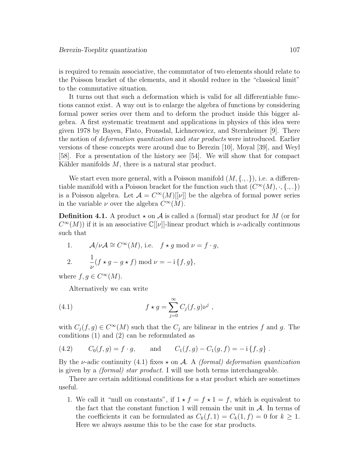is required to remain associative, the commutator of two elements should relate to the Poisson bracket of the elements, and it should reduce in the "classical limit" to the commutative situation.

It turns out that such a deformation which is valid for all differentiable functions cannot exist. A way out is to enlarge the algebra of functions by considering formal power series over them and to deform the product inside this bigger algebra. A first systematic treatment and applications in physics of this idea were given 1978 by Bayen, Flato, Fronsdal, Lichnerowicz, and Sternheimer [9]. There the notion of deformation quantization and star products were introduced. Earlier versions of these concepts were around due to Berezin [10], Moyal [39], and Weyl [58]. For a presentation of the history see [54]. We will show that for compact Kähler manifolds  $M$ , there is a natural star product.

We start even more general, with a Poisson manifold  $(M, \{.,.\}),$  i.e. a differentiable manifold with a Poisson bracket for the function such that  $(C^{\infty}(M), \cdot, \{\cdot, \cdot\})$ is a Poisson algebra. Let  $\mathcal{A} = C^{\infty}(M)[\nu]]$  be the algebra of formal power series in the variable  $\nu$  over the algebra  $C^{\infty}(M)$ .

**Definition 4.1.** A product  $\star$  on A is called a (formal) star product for M (or for  $C^{\infty}(M)$ ) if it is an associative  $\mathbb{C}[[\nu]]$ -linear product which is *v*-adically continuous such that

1. 
$$
\mathcal{A}/\nu\mathcal{A} \cong C^{\infty}(M)
$$
, i.e.  $f * g \mod \nu = f \cdot g$ ,  
\n2.  $\frac{1}{\nu}(f * g - g * f) \mod \nu = -i \{f, g\}$ ,

where  $f, g \in C^{\infty}(M)$ .

Alternatively we can write

(4.1) 
$$
f \star g = \sum_{j=0}^{\infty} C_j(f, g) \nu^j ,
$$

with  $C_j(f, g) \in C^{\infty}(M)$  such that the  $C_j$  are bilinear in the entries f and g. The conditions (1) and (2) can be reformulated as

(4.2) 
$$
C_0(f,g) = f \cdot g
$$
, and  $C_1(f,g) - C_1(g,f) = -i \{f,g\}$ .

By the *v*-adic continuity (4.1) fixes  $\star$  on A. A *(formal) deformation quantization* is given by a (formal) star product. I will use both terms interchangeable.

There are certain additional conditions for a star product which are sometimes useful.

1. We call it "null on constants", if  $1 \star f = f \star 1 = f$ , which is equivalent to the fact that the constant function 1 will remain the unit in  $A$ . In terms of the coefficients it can be formulated as  $C_k(f, 1) = C_k(1, f) = 0$  for  $k \ge 1$ . Here we always assume this to be the case for star products.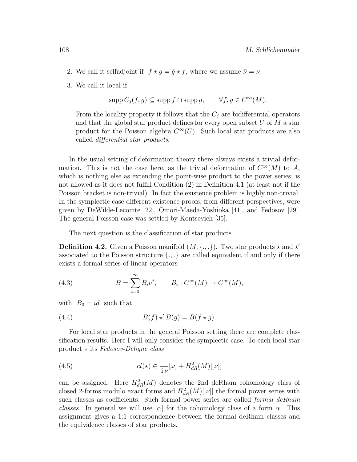- 2. We call it selfadjoint if  $\overline{f \star g} = \overline{g} \star \overline{f}$ , where we assume  $\overline{\nu} = \nu$ .
- 3. We call it local if

 $\text{supp } C_j(f, g) \subseteq \text{supp } f \cap \text{supp } g, \qquad \forall f, g \in C^{\infty}(M).$ 

From the locality property it follows that the  $C_j$  are bidifferential operators and that the global star product defines for every open subset  $U$  of  $M$  a star product for the Poisson algebra  $C^{\infty}(U)$ . Such local star products are also called differential star products.

In the usual setting of deformation theory there always exists a trivial deformation. This is not the case here, as the trivial deformation of  $C^{\infty}(M)$  to  $\mathcal{A}$ , which is nothing else as extending the point-wise product to the power series, is not allowed as it does not fulfill Condition (2) in Definition 4.1 (at least not if the Poisson bracket is non-trivial). In fact the existence problem is highly non-trivial. In the symplectic case different existence proofs, from different perspectives, were given by DeWilde-Lecomte [22], Omori-Maeda-Yoshioka [41], and Fedosov [29]. The general Poisson case was settled by Kontsevich [35].

The next question is the classification of star products.

**Definition 4.2.** Given a Poisson manifold  $(M, \{.,.\})$ . Two star products  $\star$  and  $\star'$ associated to the Poisson structure  $\{.,.\}$  are called equivalent if and only if there exists a formal series of linear operators

(4.3) 
$$
B = \sum_{i=0}^{\infty} B_i \nu^i, \qquad B_i : C^{\infty}(M) \to C^{\infty}(M),
$$

with  $B_0 = id$  such that

(4.4) 
$$
B(f) \star' B(g) = B(f \star g).
$$

For local star products in the general Poisson setting there are complete classification results. Here I will only consider the symplectic case. To each local star product  $\star$  its Fedosov-Deligne class

(4.5) 
$$
cl(\star) \in \frac{1}{i\nu}[\omega] + H_{dR}^2(M)[[\nu]]
$$

can be assigned. Here  $H_{dR}^2(M)$  denotes the 2nd deRham cohomology class of closed 2-forms modulo exact forms and  $H_{dR}^2(M)[[\nu]]$  the formal power series with such classes as coefficients. Such formal power series are called formal deRham classes. In general we will use  $\alpha$  for the cohomology class of a form  $\alpha$ . This assignment gives a 1:1 correspondence between the formal deRham classes and the equivalence classes of star products.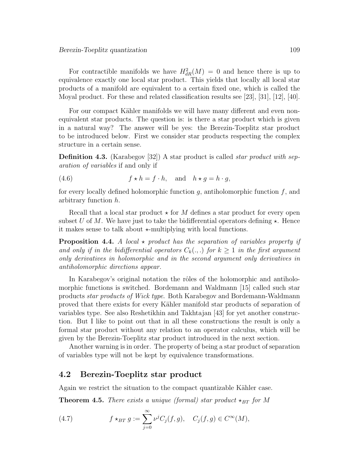For contractible manifolds we have  $H_{dR}^2(M) = 0$  and hence there is up to equivalence exactly one local star product. This yields that locally all local star products of a manifold are equivalent to a certain fixed one, which is called the Moyal product. For these and related classification results see [23], [31], [12], [40].

For our compact Kähler manifolds we will have many different and even nonequivalent star products. The question is: is there a star product which is given in a natural way? The answer will be yes: the Berezin-Toeplitz star product to be introduced below. First we consider star products respecting the complex structure in a certain sense.

**Definition 4.3.** (Karabegov [32]) A star product is called *star product with sep*aration of variables if and only if

(4.6) 
$$
f \star h = f \cdot h, \text{ and } h \star g = h \cdot g,
$$

for every locally defined holomorphic function  $g$ , antiholomorphic function  $f$ , and arbitrary function h.

Recall that a local star product  $\star$  for M defines a star product for every open subset U of M. We have just to take the bidifferential operators defining  $\star$ . Hence it makes sense to talk about  $\star$ -multiplying with local functions.

**Proposition 4.4.** A local  $\star$  product has the separation of variables property if and only if in the bidifferential operators  $C_k(.,.)$  for  $k \geq 1$  in the first argument only derivatives in holomorphic and in the second argument only derivatives in antiholomorphic directions appear.

In Karabegov's original notation the rôles of the holomorphic and antiholomorphic functions is switched. Bordemann and Waldmann [15] called such star products star products of Wick type. Both Karabegov and Bordemann-Waldmann proved that there exists for every Kähler manifold star products of separation of variables type. See also Reshetikhin and Takhtajan [43] for yet another construction. But I like to point out that in all these constructions the result is only a formal star product without any relation to an operator calculus, which will be given by the Berezin-Toeplitz star product introduced in the next section.

Another warning is in order. The property of being a star product of separation of variables type will not be kept by equivalence transformations.

## 4.2 Berezin-Toeplitz star product

Again we restrict the situation to the compact quantizable Kähler case.

**Theorem 4.5.** There exists a unique (formal) star product  $\star_{BT}$  for M

(4.7) 
$$
f \star_{BT} g := \sum_{j=0}^{\infty} \nu^j C_j(f,g), \quad C_j(f,g) \in C^{\infty}(M),
$$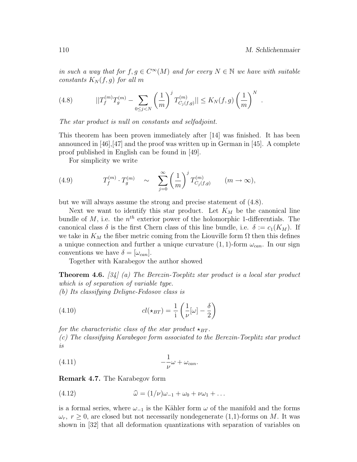in such a way that for  $f, g \in C^{\infty}(M)$  and for every  $N \in \mathbb{N}$  we have with suitable constants  $K_N(f,g)$  for all m

(4.8) 
$$
||T_f^{(m)}T_g^{(m)} - \sum_{0 \le j < N} \left(\frac{1}{m}\right)^j T_{C_j(f,g)}^{(m)}|| \le K_N(f,g) \left(\frac{1}{m}\right)^N.
$$

The star product is null on constants and selfadjoint.

This theorem has been proven immediately after [14] was finished. It has been announced in [46],[47] and the proof was written up in German in [45]. A complete proof published in English can be found in [49].

For simplicity we write

(4.9) 
$$
T_f^{(m)} \cdot T_g^{(m)} \sim \sum_{j=0}^{\infty} \left(\frac{1}{m}\right)^j T_{C_j(f,g)}^{(m)} \qquad (m \to \infty),
$$

but we will always assume the strong and precise statement of (4.8).

Next we want to identify this star product. Let  $K_M$  be the canonical line bundle of  $M$ , i.e. the  $n<sup>th</sup>$  exterior power of the holomorphic 1-differentials. The canonical class  $\delta$  is the first Chern class of this line bundle, i.e.  $\delta := c_1(K_M)$ . If we take in  $K_M$  the fiber metric coming from the Liouville form  $\Omega$  then this defines a unique connection and further a unique curvature  $(1, 1)$ -form  $\omega_{can}$ . In our sign conventions we have  $\delta = [\omega_{can}].$ 

Together with Karabegov the author showed

**Theorem 4.6.** [34] (a) The Berezin-Toeplitz star product is a local star product which is of separation of variable type. (b) Its classifying Deligne-Fedosov class is

(4.10) 
$$
cl(\star_{BT}) = \frac{1}{i} \left( \frac{1}{\nu} [\omega] - \frac{\delta}{2} \right)
$$

for the characteristic class of the star product  $\star_{BT}$ . (c) The classifying Karabegov form associated to the Berezin-Toeplitz star product is

$$
(4.11) \t\t -\frac{1}{\nu}\omega + \omega_{can}.
$$

Remark 4.7. The Karabegov form

(4.12) 
$$
\widehat{\omega} = (1/\nu)\omega_{-1} + \omega_0 + \nu\omega_1 + \dots
$$

is a formal series, where  $\omega_{-1}$  is the Kähler form  $\omega$  of the manifold and the forms  $\omega_r$ ,  $r \geq 0$ , are closed but not necessarily nondegenerate (1,1)-forms on M. It was shown in [32] that all deformation quantizations with separation of variables on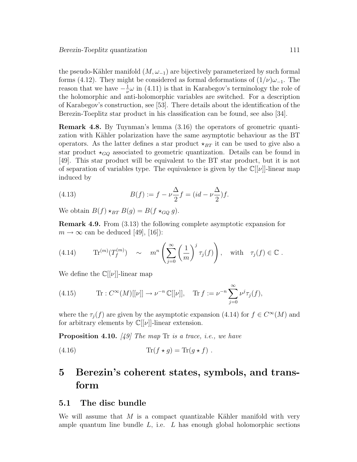the pseudo-Kähler manifold  $(M, \omega_{-1})$  are bijectively parameterized by such formal forms (4.12). They might be considered as formal deformations of  $(1/\nu)\omega_{-1}$ . The reason that we have  $-\frac{1}{u}$  $\frac{1}{\nu}\omega$  in (4.11) is that in Karabegov's terminology the role of the holomorphic and anti-holomorphic variables are switched. For a description of Karabegov's construction, see [53]. There details about the identification of the Berezin-Toeplitz star product in his classification can be found, see also [34].

Remark 4.8. By Tuynman's lemma (3.16) the operators of geometric quantization with Kähler polarization have the same asymptotic behaviour as the BT operators. As the latter defines a star product  $\star_{BT}$  it can be used to give also a star product  $\star_{GQ}$  associated to geometric quantization. Details can be found in [49]. This star product will be equivalent to the BT star product, but it is not of separation of variables type. The equivalence is given by the  $\mathbb{C}[[\nu]]$ -linear map induced by

(4.13) 
$$
B(f) := f - \nu \frac{\Delta}{2} f = (id - \nu \frac{\Delta}{2}) f.
$$

We obtain  $B(f) \star_{BT} B(g) = B(f \star_{GO} g)$ .

Remark 4.9. From (3.13) the following complete asymptotic expansion for  $m \to \infty$  can be deduced [49], [16]):

(4.14) 
$$
\text{Tr}^{(m)}(T_f^{(m)}) \sim m^n \left( \sum_{j=0}^{\infty} \left( \frac{1}{m} \right)^j \tau_j(f) \right), \text{ with } \tau_j(f) \in \mathbb{C}.
$$

We define the  $\mathbb{C}(|\nu|)$ -linear map

(4.15) 
$$
\text{Tr}: C^{\infty}(M)[[\nu]] \to \nu^{-n} \mathbb{C}[[\nu]], \quad \text{Tr} f := \nu^{-n} \sum_{j=0}^{\infty} \nu^{j} \tau_{j}(f),
$$

where the  $\tau_j(f)$  are given by the asymptotic expansion (4.14) for  $f \in C^{\infty}(M)$  and for arbitrary elements by  $\mathbb{C}[[\nu]]$ -linear extension.

**Proposition 4.10.** [49] The map Tr is a trace, i.e., we have

(4.16) 
$$
\text{Tr}(f \star g) = \text{Tr}(g \star f) .
$$

# 5 Berezin's coherent states, symbols, and transform

#### 5.1 The disc bundle

We will assume that  $M$  is a compact quantizable Kähler manifold with very ample quantum line bundle  $L$ , i.e.  $L$  has enough global holomorphic sections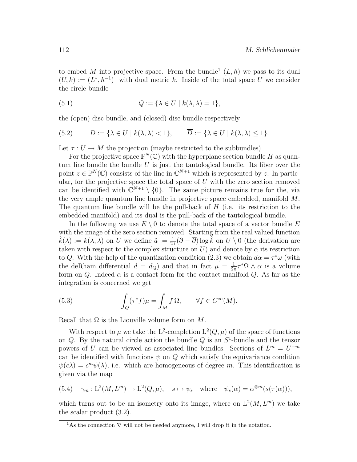to embed M into projective space. From the bundle<sup>1</sup>  $(L, h)$  we pass to its dual  $(U, k) := (L^*, h^{-1})$  with dual metric k. Inside of the total space U we consider the circle bundle

(5.1) 
$$
Q := \{ \lambda \in U \mid k(\lambda, \lambda) = 1 \},
$$

the (open) disc bundle, and (closed) disc bundle respectively

(5.2) 
$$
D := \{ \lambda \in U \mid k(\lambda, \lambda) < 1 \}, \qquad \overline{D} := \{ \lambda \in U \mid k(\lambda, \lambda) \leq 1 \}.
$$

Let  $\tau: U \to M$  the projection (maybe restricted to the subbundles).

For the projective space  $\mathbb{P}^N(\mathbb{C})$  with the hyperplane section bundle H as quantum line bundle the bundle  $U$  is just the tautological bundle. Its fiber over the point  $z \in \mathbb{P}^N(\mathbb{C})$  consists of the line in  $\mathbb{C}^{N+1}$  which is represented by z. In particular, for the projective space the total space of  $U$  with the zero section removed can be identified with  $\mathbb{C}^{N+1} \setminus \{0\}$ . The same picture remains true for the, via the very ample quantum line bundle in projective space embedded, manifold M. The quantum line bundle will be the pull-back of  $H$  (i.e. its restriction to the embedded manifold) and its dual is the pull-back of the tautological bundle.

In the following we use  $E \setminus 0$  to denote the total space of a vector bundle E with the image of the zero section removed. Starting from the real valued function  $\hat{k}(\lambda) := k(\lambda, \lambda)$  on U we define  $\tilde{a} := \frac{1}{2i} (\partial - \overline{\partial}) \log \tilde{k}$  on  $U \setminus 0$  (the derivation are taken with respect to the complex structure on U) and denote by  $\alpha$  its restriction to Q. With the help of the quantization condition (2.3) we obtain  $d\alpha = \tau^* \omega$  (with the deRham differential  $d = d_Q$  and that in fact  $\mu = \frac{1}{2d}$  $\frac{1}{2\pi}\tau^*\Omega \wedge \alpha$  is a volume form on  $Q$ . Indeed  $\alpha$  is a contact form for the contact manifold  $Q$ . As far as the integration is concerned we get

(5.3) 
$$
\int_{Q} (\tau^* f) \mu = \int_{M} f \Omega, \qquad \forall f \in C^{\infty}(M).
$$

Recall that  $\Omega$  is the Liouville volume form on M.

With respect to  $\mu$  we take the L<sup>2</sup>-completion  $L^2(Q, \mu)$  of the space of functions on  $Q$ . By the natural circle action the bundle  $Q$  is an  $S^1$ -bundle and the tensor powers of U can be viewed as associated line bundles. Sections of  $L^m = U^{-m}$ can be identified with functions  $\psi$  on  $Q$  which satisfy the equivariance condition  $\psi(c\lambda) = c^m \psi(\lambda)$ , i.e. which are homogeneous of degree m. This identification is given via the map

(5.4) 
$$
\gamma_m : L^2(M, L^m) \to L^2(Q, \mu), \quad s \mapsto \psi_s \text{ where } \psi_s(\alpha) = \alpha^{\otimes m}(s(\tau(\alpha))),
$$

which turns out to be an isometry onto its image, where on  $L^2(M, L^m)$  we take the scalar product (3.2).

<sup>&</sup>lt;sup>1</sup>As the connection  $\nabla$  will not be needed anymore. I will drop it in the notation.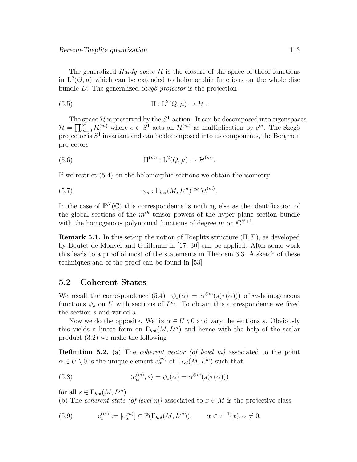The generalized *Hardy space*  $\mathcal{H}$  is the closure of the space of those functions in  $L^2(Q,\mu)$  which can be extended to holomorphic functions on the whole disc bundle  $\overline{D}$ . The generalized *Szegö projector* is the projection

(5.5) 
$$
\Pi: L^2(Q,\mu) \to \mathcal{H}.
$$

The space  $\mathcal H$  is preserved by the  $S^1$ -action. It can be decomposed into eigenspaces  $\mathcal{H} = \prod_{m=0}^{\infty} \mathcal{H}^{(m)}$  where  $c \in S^1$  acts on  $\mathcal{H}^{(m)}$  as multiplication by  $c^m$ . The Szegö projector is  $S<sup>1</sup>$  invariant and can be decomposed into its components, the Bergman projectors

(5.6) 
$$
\hat{\Pi}^{(m)} : \mathcal{L}^2(Q, \mu) \to \mathcal{H}^{(m)}.
$$

If we restrict (5.4) on the holomorphic sections we obtain the isometry

(5.7) 
$$
\gamma_m : \Gamma_{hol}(M, L^m) \cong \mathcal{H}^{(m)}.
$$

In the case of  $\mathbb{P}^N(\mathbb{C})$  this correspondence is nothing else as the identification of the global sections of the  $m<sup>th</sup>$  tensor powers of the hyper plane section bundle with the homogenous polynomial functions of degree  $m$  on  $\mathbb{C}^{N+1}$ .

**Remark 5.1.** In this set-up the notion of Toeplitz structure  $(\Pi, \Sigma)$ , as developed by Boutet de Monvel and Guillemin in [17, 30] can be applied. After some work this leads to a proof of most of the statements in Theorem 3.3. A sketch of these techniques and of the proof can be found in [53]

## 5.2 Coherent States

We recall the correspondence  $(5.4)$   $\psi_s(\alpha) = \alpha^{\otimes m}(s(\tau(\alpha)))$  of m-homogeneous functions  $\psi_s$  on U with sections of  $L^m$ . To obtain this correspondence we fixed the section s and varied a.

Now we do the opposite. We fix  $\alpha \in U \setminus 0$  and vary the sections s. Obviously this yields a linear form on  $\Gamma_{hol}(M, L^m)$  and hence with the help of the scalar product (3.2) we make the following

**Definition 5.2.** (a) The *coherent vector (of level m)* associated to the point  $\alpha \in U \setminus 0$  is the unique element  $e_{\alpha}^{(m)}$  of  $\Gamma_{hol}(M, L^m)$  such that

(5.8) 
$$
\langle e_{\alpha}^{(m)}, s \rangle = \psi_s(\alpha) = \alpha^{\otimes m}(s(\tau(\alpha)))
$$

for all  $s \in \Gamma_{hol}(M, L^m)$ .

(b) The *coherent state (of level m)* associated to  $x \in M$  is the projective class

(5.9) 
$$
e_x^{(m)} := [e_\alpha^{(m)}] \in \mathbb{P}(\Gamma_{hol}(M, L^m)), \qquad \alpha \in \tau^{-1}(x), \alpha \neq 0.
$$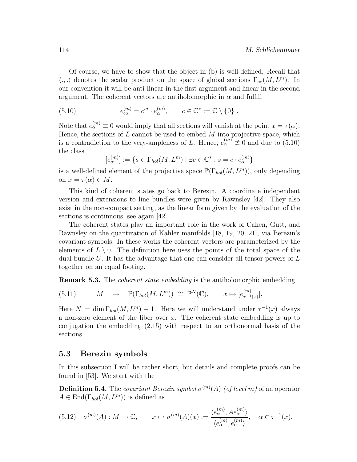Of course, we have to show that the object in (b) is well-defined. Recall that  $\langle ., . \rangle$  denotes the scalar product on the space of global sections  $\Gamma_{\infty}(M, L^m)$ . In our convention it will be anti-linear in the first argument and linear in the second argument. The coherent vectors are antiholomorphic in  $\alpha$  and fulfill

(5.10) 
$$
e_{c\alpha}^{(m)} = \bar{c}^m \cdot e_{\alpha}^{(m)}, \qquad c \in \mathbb{C}^* := \mathbb{C} \setminus \{0\}.
$$

Note that  $e_{\alpha}^{(m)} \equiv 0$  would imply that all sections will vanish at the point  $x = \tau(\alpha)$ . Hence, the sections of  $L$  cannot be used to embed  $M$  into projective space, which is a contradiction to the very-ampleness of L. Hence,  $e_{\alpha}^{(m)} \neq 0$  and due to (5.10) the class

 $[e^{(m)}_\alpha] := \{ s \in \Gamma_{hol}(M,L^m) \mid \exists c \in \mathbb{C}^* : s = c \cdot e^{(m)}_\alpha \}$ 

is a well-defined element of the projective space  $\mathbb{P}(\Gamma_{hol}(M, L^m))$ , only depending on  $x = \tau(\alpha) \in M$ .

This kind of coherent states go back to Berezin. A coordinate independent version and extensions to line bundles were given by Rawnsley [42]. They also exist in the non-compact setting, as the linear form given by the evaluation of the sections is continuous, see again [42].

The coherent states play an important role in the work of Cahen, Gutt, and Rawnsley on the quantization of Kähler manifolds  $[18, 19, 20, 21]$ , via Berezin's covariant symbols. In these works the coherent vectors are parameterized by the elements of  $L \setminus 0$ . The definition here uses the points of the total space of the dual bundle U. It has the advantage that one can consider all tensor powers of  $L$ together on an equal footing.

Remark 5.3. The coherent state embedding is the antiholomorphic embedding

(5.11) 
$$
M \rightarrow \mathbb{P}(\Gamma_{hol}(M, L^m)) \cong \mathbb{P}^N(\mathbb{C}), \qquad x \mapsto [e^{(m)}_{\tau^{-1}(x)}].
$$

Here  $N = \dim \Gamma_{hol}(M, L^m) - 1$ . Here we will understand under  $\tau^{-1}(x)$  always a non-zero element of the fiber over  $x$ . The coherent state embedding is up to conjugation the embedding (2.15) with respect to an orthonormal basis of the sections.

## 5.3 Berezin symbols

In this subsection I will be rather short, but details and complete proofs can be found in [53]. We start with the

**Definition 5.4.** The *covariant Berezin symbol*  $\sigma^{(m)}(A)$  (of level m) of an operator  $A \in \text{End}(\Gamma_{hol}(M, L^m))$  is defined as

$$
(5.12) \quad \sigma^{(m)}(A) : M \to \mathbb{C}, \qquad x \mapsto \sigma^{(m)}(A)(x) := \frac{\langle e_{\alpha}^{(m)}, A e_{\alpha}^{(m)} \rangle}{\langle e_{\alpha}^{(m)}, e_{\alpha}^{(m)} \rangle}, \quad \alpha \in \tau^{-1}(x).
$$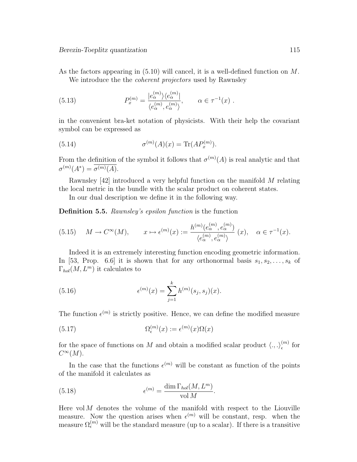As the factors appearing in (5.10) will cancel, it is a well-defined function on M. We introduce the the *coherent projectors* used by Rawnsley

(5.13) 
$$
P_x^{(m)} = \frac{|e_\alpha^{(m)}\rangle\langle e_\alpha^{(m)}|}{\langle e_\alpha^{(m)}, e_\alpha^{(m)}\rangle}, \qquad \alpha \in \tau^{-1}(x) .
$$

in the convenient bra-ket notation of physicists. With their help the covariant symbol can be expressed as

(5.14) 
$$
\sigma^{(m)}(A)(x) = \text{Tr}(AP_x^{(m)}).
$$

From the definition of the symbol it follows that  $\sigma^{(m)}(A)$  is real analytic and that  $\sigma^{(m)}(A^*) = \sigma^{(m)}(A).$ 

Rawnsley [42] introduced a very helpful function on the manifold M relating the local metric in the bundle with the scalar product on coherent states.

In our dual description we define it in the following way.

Definition 5.5. Rawnsley's epsilon function is the function

(5.15) 
$$
M \to C^{\infty}(M), \qquad x \mapsto \epsilon^{(m)}(x) := \frac{h^{(m)}(e_{\alpha}^{(m)}, e_{\alpha}^{(m)})}{\langle e_{\alpha}^{(m)}, e_{\alpha}^{(m)} \rangle} (x), \quad \alpha \in \tau^{-1}(x).
$$

Indeed it is an extremely interesting function encoding geometric information. In [53, Prop. 6.6] it is shown that for any orthonormal basis  $s_1, s_2, \ldots, s_k$  of  $\Gamma_{hol}(M,L^m)$  it calculates to

(5.16) 
$$
\epsilon^{(m)}(x) = \sum_{j=1}^{k} h^{(m)}(s_j, s_j)(x).
$$

The function  $\epsilon^{(m)}$  is strictly positive. Hence, we can define the modified measure

(5.17) 
$$
\Omega_{\epsilon}^{(m)}(x) := \epsilon^{(m)}(x)\Omega(x)
$$

for the space of functions on M and obtain a modified scalar product  $\langle ., . \rangle_{\epsilon}^{(m)}$  $\binom{m}{\epsilon}$  for  $C^{\infty}(M)$ .

In the case that the functions  $\epsilon^{(m)}$  will be constant as function of the points of the manifold it calculates as

(5.18) 
$$
\epsilon^{(m)} = \frac{\dim \Gamma_{hol}(M, L^m)}{\text{vol } M}.
$$

Here vol  $M$  denotes the volume of the manifold with respect to the Liouville measure. Now the question arises when  $\epsilon^{(m)}$  will be constant, resp. when the measure  $\Omega_{\epsilon}^{(m)}$  will be the standard measure (up to a scalar). If there is a transitive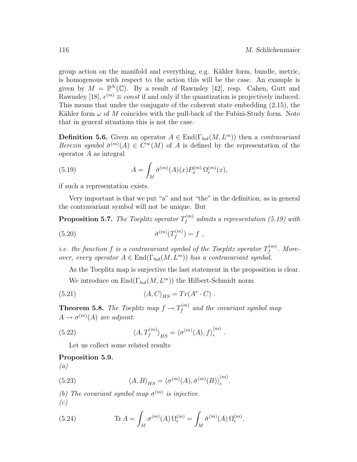group action on the manifold and everything, e.g. Kähler form, bundle, metric, is homogenous with respect to the action this will be the case. An example is given by  $M = \mathbb{P}^N(\mathbb{C})$ . By a result of Rawnsley [42], resp. Cahen, Gutt and Rawnsley [18],  $\epsilon^{(m)} \equiv const$  if and only if the quantization is projectively induced. This means that under the conjugate of the coherent state embedding (2.15), the Kähler form  $\omega$  of M coincides with the pull-back of the Fubini-Study form. Note that in general situations this is not the case.

**Definition 5.6.** Given an operator  $A \in \text{End}(\Gamma_{hol}(M, L^m))$  then a *contravariant* Berezin symbol  $\check{\sigma}^{(m)}(A) \in C^{\infty}(M)$  of A is defined by the representation of the operator A as integral

(5.19) 
$$
A = \int_M \check{\sigma}^{(m)}(A)(x) P_x^{(m)} \Omega_{\epsilon}^{(m)}(x),
$$

if such a representation exists.

Very important is that we put "a" and not "the" in the definition, as in general the contravariant symbol will not be unique. But

**Proposition 5.7.** The Toeplitz operator  $T_f^{(m)}$  $f_f^{(m)}$  admits a representation (5.19) with

(5.20) 
$$
\check{\sigma}^{(m)}(T_f^{(m)}) = f ,
$$

*i.e.* the function f is a contravariant symbol of the Toeplitz operator  $T_f^{(m)}$  $f^{(m)}$ . Moreover, every operator  $A \in \text{End}(\Gamma_{hol}(M, L^m))$  has a contravariant symbol.

As the Toeplitz map is surjective the last statement in the proposition is clear.

We introduce on  $\text{End}(\Gamma_{hol}(M, L^m))$  the Hilbert-Schmidt norm

(5.21) 
$$
\langle A, C \rangle_{HS} = Tr(A^* \cdot C) .
$$

**Theorem 5.8.** The Toeplitz map  $f \to T_f^{(m)}$  $f_f^{(m)}$  and the covariant symbol map  $A \to \sigma^{(m)}(A)$  are adjoint:

(5.22) 
$$
\langle A, T_f^{(m)} \rangle_{HS} = \langle \sigma^{(m)}(A), f \rangle_{\epsilon}^{(m)}.
$$

Let us collect some related results

#### Proposition 5.9.

(a)

(5.23) 
$$
\langle A, B \rangle_{HS} = \langle \sigma^{(m)}(A), \check{\sigma}^{(m)}(B) \rangle_{\epsilon}^{(m)}.
$$

(b) The covariant symbol map  $\sigma^{(m)}$  is injective.  $(c)$ 

(5.24) 
$$
\operatorname{Tr} A = \int_M \sigma^{(m)}(A) \,\Omega_{\epsilon}^{(m)} = \int_M \check{\sigma}^{(m)}(A) \,\Omega_{\epsilon}^{(m)}.
$$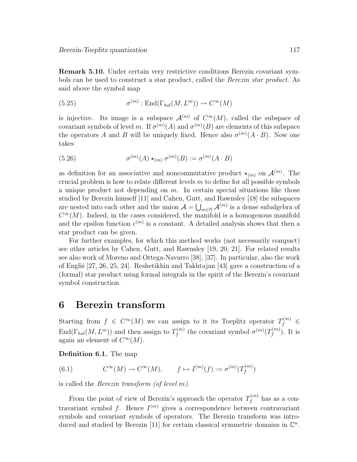Remark 5.10. Under certain very restrictive conditions Berezin covariant symbols can be used to construct a star product, called the Berezin star product. As said above the symbol map

(5.25) 
$$
\sigma^{(m)} : \text{End}(\Gamma_{hol}(M, L^m)) \to C^{\infty}(M)
$$

is injective. Its image is a subspace  $\mathcal{A}^{(m)}$  of  $C^{\infty}(M)$ , called the subspace of covariant symbols of level m. If  $\sigma^{(m)}(A)$  and  $\sigma^{(m)}(B)$  are elements of this subspace the operators A and B will be uniquely fixed. Hence also  $\sigma^{(m)}(A \cdot B)$ . Now one takes

(5.26) 
$$
\sigma^{(m)}(A) \star_{(m)} \sigma^{(m)}(B) := \sigma^{(m)}(A \cdot B)
$$

as definition for an associative and noncommutative product  $\star_{(m)}$  on  $\mathcal{A}^{(m)}$ . The crucial problem is how to relate different levels  $m$  to define for all possible symbols a unique product not depending on  $m$ . In certain special situations like those studied by Berezin himself [11] and Cahen, Gutt, and Rawnsley [18] the subspaces are nested into each other and the union  $\mathcal{A} = \bigcup_{m \in \mathbb{N}} \mathcal{A}^{(m)}$  is a dense subalgebra of  $C^{\infty}(M)$ . Indeed, in the cases considered, the manifold is a homogenous manifold and the epsilon function  $\epsilon^{(m)}$  is a constant. A detailed analysis shows that then a star product can be given.

For further examples, for which this method works (not necessarily compact) see other articles by Cahen, Gutt, and Rawnsley [19, 20, 21]. For related results see also work of Moreno and Ortega-Navarro [38], [37]. In particular, also the work of Engliš  $[27, 26, 25, 24]$ . Reshetikhin and Takhtajan  $[43]$  gave a construction of a (formal) star product using formal integrals in the spirit of the Berezin's covariant symbol construction.

# 6 Berezin transform

Starting from  $f \in C^{\infty}(M)$  we can assign to it its Toeplitz operator  $T_f^{(m)} \in$  $\text{End}(\Gamma_{hol}(M,L^m))$  and then assign to  $T_f^{(m)}$  $f_f^{(m)}$  the covariant symbol  $\sigma^{(m)}(T_f^{(m)})$  $f^{(m)}$ ). It is again an element of  $C^{\infty}(M)$ .

Definition 6.1. The map

(6.1) 
$$
C^{\infty}(M) \to C^{\infty}(M), \qquad f \mapsto I^{(m)}(f) := \sigma^{(m)}(T_f^{(m)})
$$

is called the Berezin transform (of level m).

From the point of view of Berezin's approach the operator  $T_f^{(m)}$  $f^{(m)}$  has as a contravariant symbol f. Hence  $I^{(m)}$  gives a correspondence between contravariant symbols and covariant symbols of operators. The Berezin transform was introduced and studied by Berezin [11] for certain classical symmetric domains in  $\mathbb{C}^n$ .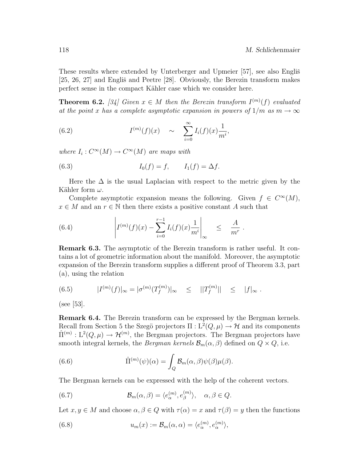These results where extended by Unterberger and Upmeier [57], see also Englis̃ [25, 26, 27] and Englis̆ and Peetre [28]. Obviously, the Berezin transform makes perfect sense in the compact Kähler case which we consider here.

**Theorem 6.2.** [34] Given  $x \in M$  then the Berezin transform  $I^{(m)}(f)$  evaluated at the point x has a complete asymptotic expansion in powers of  $1/m$  as  $m \to \infty$ 

(6.2) 
$$
I^{(m)}(f)(x) \sim \sum_{i=0}^{\infty} I_i(f)(x) \frac{1}{m^i},
$$

where  $I_i: C^{\infty}(M) \to C^{\infty}(M)$  are maps with

(6.3) 
$$
I_0(f) = f, \qquad I_1(f) = \Delta f.
$$

Here the  $\Delta$  is the usual Laplacian with respect to the metric given by the Kähler form  $\omega$ .

Complete asymptotic expansion means the following. Given  $f \in C^{\infty}(M)$ ,  $x \in M$  and an  $r \in \mathbb{N}$  then there exists a positive constant A such that

(6.4) 
$$
\left| I^{(m)}(f)(x) - \sum_{i=0}^{r-1} I_i(f)(x) \frac{1}{m^i} \right|_{\infty} \leq \frac{A}{m^r}.
$$

Remark 6.3. The asymptotic of the Berezin transform is rather useful. It contains a lot of geometric information about the manifold. Moreover, the asymptotic expansion of the Berezin transform supplies a different proof of Theorem 3.3, part (a), using the relation

(6.5) 
$$
|I^{(m)}(f)|_{\infty} = |\sigma^{(m)}(T_f^{(m)})|_{\infty} \leq ||T_f^{(m)}|| \leq |f|_{\infty}.
$$

(see [53].

Remark 6.4. The Berezin transform can be expressed by the Bergman kernels. Recall from Section 5 the Szegö projectors  $\Pi: L^2(Q, \mu) \to \mathcal{H}$  and its components  $\hat{\Pi}^{(m)} : L^2(Q, \mu) \to \mathcal{H}^{(m)}$ , the Bergman projectors. The Bergman projectors have smooth integral kernels, the Bergman kernels  $\mathcal{B}_m(\alpha, \beta)$  defined on  $Q \times Q$ , i.e.

(6.6) 
$$
\hat{\Pi}^{(m)}(\psi)(\alpha) = \int_{Q} \mathcal{B}_{m}(\alpha, \beta) \psi(\beta) \mu(\beta).
$$

The Bergman kernels can be expressed with the help of the coherent vectors.

(6.7) 
$$
\mathcal{B}_m(\alpha,\beta) = \langle e_\alpha^{(m)}, e_\beta^{(m)} \rangle, \quad \alpha,\beta \in Q.
$$

Let  $x, y \in M$  and choose  $\alpha, \beta \in Q$  with  $\tau(\alpha) = x$  and  $\tau(\beta) = y$  then the functions

(6.8) 
$$
u_m(x) := \mathcal{B}_m(\alpha, \alpha) = \langle e_\alpha^{(m)}, e_\alpha^{(m)} \rangle,
$$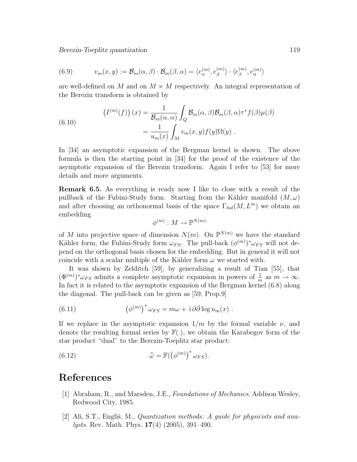(6.9) 
$$
v_m(x, y) := \mathcal{B}_m(\alpha, \beta) \cdot \mathcal{B}_m(\beta, \alpha) = \langle e_{\alpha}^{(m)}, e_{\beta}^{(m)} \rangle \cdot \langle e_{\beta}^{(m)}, e_{\alpha}^{(m)} \rangle
$$

are well-defined on M and on  $M \times M$  respectively. An integral representation of the Berezin transform is obtained by

(6.10) 
$$
\left(I^{(m)}(f)\right)(x) = \frac{1}{\mathcal{B}_m(\alpha, \alpha)} \int_Q \mathcal{B}_m(\alpha, \beta) \mathcal{B}_m(\beta, \alpha) \tau^* f(\beta) \mu(\beta)
$$

$$
= \frac{1}{u_m(x)} \int_M v_m(x, y) f(y) \Omega(y) .
$$

In [34] an asymptotic expansion of the Bergman kernel is shown. The above formula is then the starting point in [34] for the proof of the existence of the asymptotic expansion of the Berezin transform. Again I refer to [53] for more details and more arguments.

Remark 6.5. As everything is ready now I like to close with a result of the pullback of the Fubini-Study form. Starting from the Kähler manifold  $(M,\omega)$ and after choosing an orthonormal basis of the space  $\Gamma_{hol}(M, L^m)$  we obtain an embedding

$$
\phi^{(m)}:M\to\mathbb{P}^{N(m)}
$$

of M into projective space of dimension  $N(m)$ . On  $\mathbb{P}^{N(m)}$  we have the standard Kähler form, the Fubini-Study form  $\omega_{FS}$ . The pull-back  $(\phi^{(m)})^* \omega_{FS}$  will not depend on the orthogonal basis chosen for the embedding. But in general it will not coincide with a scalar multiple of the Kähler form  $\omega$  we started with.

It was shown by Zelditch [59], by generalizing a result of Tian [55], that  $(\Phi^{(m)})^* \omega_{FS}$  admits a complete asymptotic expansion in powers of  $\frac{1}{m}$  as  $m \to \infty$ . In fact it is related to the asymptotic expansion of the Bergman kernel (6.8) along the diagonal. The pull-back can be given as [59, Prop.9]

(6.11) 
$$
\left(\phi^{(m)}\right)^* \omega_{FS} = m\omega + i \partial \bar{\partial} \log u_m(x) .
$$

If we replace in the asymptotic expansion  $1/m$  by the formal variable  $\nu$ , and denote the resulting formal series by  $\mathbb{F}(.)$ , we obtain the Karabegov form of the star product "dual" to the Berezin-Toeplitz star product:

(6.12) 
$$
\widehat{\omega} = \mathbb{F}(\left(\phi^{(m)}\right)^* \omega_{FS}).
$$

# References

- [1] Abraham, R., and Marsden, J.E., Foundations of Mechanics. Addison Wesley, Redwood City, 1985.
- [2] Ali, S.T., Engliš, M., *Quantization methods: A guide for physicists and ana*lysts. Rev. Math. Phys. 17(4) (2005), 391–490.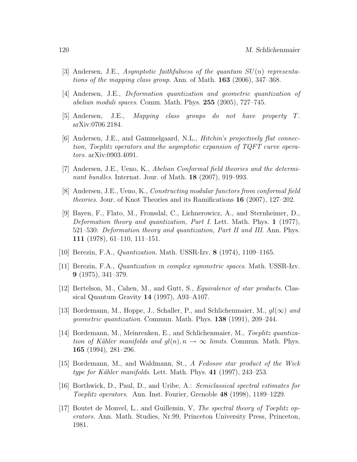- [3] Andersen, J.E., Asymptotic faithfulness of the quantum  $SU(n)$  representations of the mapping class group. Ann. of Math. 163 (2006), 347–368.
- [4] Andersen, J.E., *Deformation quantization and geometric quantization of* abelian moduli spaces. Comm. Math. Phys. 255 (2005), 727–745.
- [5] Andersen, J.E., Mapping class groups do not have property T. arXiv:0706.2184.
- [6] Andersen, J.E., and Gammelgaard, N.L., Hitchin's projectively flat connection, Toeplitz operators and the asymptotic expansion of TQFT curve operators. arXiv:0903.4091.
- [7] Andersen, J.E., Ueno, K., Abelian Conformal field theories and the determinant bundles. Internat. Jour. of Math. 18 (2007), 919–993.
- [8] Andersen, J.E., Ueno, K., Constructing modular functors from conformal field theories. Jour. of Knot Theories and its Ramifications 16 (2007), 127–202.
- [9] Bayen, F., Flato, M., Fronsdal, C., Lichnerowicz, A., and Sternheimer, D., Deformation theory and quantization, Part I. Lett. Math. Phys.  $1$  (1977), 521–530: Deformation theory and quantization, Part II and III. Ann. Phys. 111 (1978), 61–110, 111–151.
- [10] Berezin, F.A., Quantization. Math. USSR-Izv. 8 (1974), 1109–1165.
- [11] Berezin, F.A., Quantization in complex symmetric spaces. Math. USSR-Izv. 9 (1975), 341–379.
- [12] Bertelson, M., Cahen, M., and Gutt, S., *Equivalence of star products*. Classical Quantum Gravity 14 (1997), A93–A107.
- [13] Bordemann, M., Hoppe, J., Schaller, P., and Schlichenmaier, M.,  $gl(\infty)$  and geometric quantization. Commun. Math. Phys. 138 (1991), 209–244.
- [14] Bordemann, M., Meinrenken, E., and Schlichenmaier, M., Toeplitz quantization of Kähler manifolds and  $q l(n)$ ,  $n \to \infty$  limits. Commun. Math. Phys. 165 (1994), 281–296.
- [15] Bordemann, M., and Waldmann, St., A Fedosov star product of the Wick type for Kähler manifolds. Lett. Math. Phys.  $41$  (1997), 243–253.
- [16] Borthwick, D., Paul, D., and Uribe, A.: Semiclassical spectral estimates for Toeplitz operators. Ann. Inst. Fourier, Grenoble 48 (1998), 1189–1229.
- [17] Boutet de Monvel, L., and Guillemin, V, The spectral theory of Toeplitz operators. Ann. Math. Studies, Nr.99, Princeton University Press, Princeton, 1981.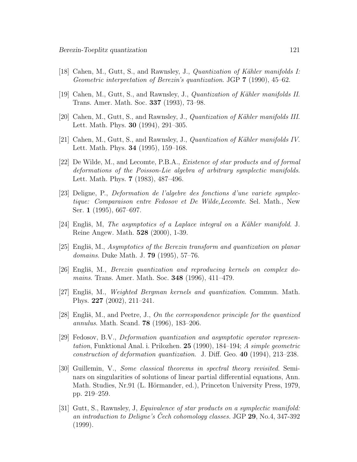- [18] Cahen, M., Gutt, S., and Rawnsley, J., *Quantization of Kähler manifolds I:* Geometric interpretation of Berezin's quantization. JGP 7 (1990), 45–62.
- [19] Cahen, M., Gutt, S., and Rawnsley, J., *Quantization of Kähler manifolds II.* Trans. Amer. Math. Soc. 337 (1993), 73–98.
- [20] Cahen, M., Gutt, S., and Rawnsley, J., Quantization of K¨ahler manifolds III. Lett. Math. Phys. 30 (1994), 291–305.
- [21] Cahen, M., Gutt, S., and Rawnsley, J., *Quantization of Kähler manifolds IV*. Lett. Math. Phys. 34 (1995), 159–168.
- [22] De Wilde, M., and Lecomte, P.B.A., Existence of star products and of formal deformations of the Poisson-Lie algebra of arbitrary symplectic manifolds. Lett. Math. Phys. 7 (1983), 487–496.
- [23] Deligne, P., Deformation de l'algebre des fonctions d'une variete symplectique: Comparaison entre Fedosov et De Wilde,Lecomte. Sel. Math., New Ser. 1 (1995), 667–697.
- [24] Engliš, M, The asymptotics of a Laplace integral on a Kähler manifold. J. Reine Angew. Math. 528 (2000), 1-39.
- [25] Engliš, M., Asymptotics of the Berezin transform and quantization on planar domains. Duke Math. J. 79 (1995), 57–76.
- [26] Engliš, M., *Berezin quantization and reproducing kernels on complex do*mains. Trans. Amer. Math. Soc. 348 (1996), 411–479.
- [27] Engliš, M., Weighted Bergman kernels and quantization. Commun. Math. Phys. 227 (2002), 211–241.
- [28] Englis, M., and Peetre, J., On the correspondence principle for the quantized annulus. Math. Scand. 78 (1996), 183–206.
- [29] Fedosov, B.V., Deformation quantization and asymptotic operator representation, Funktional Anal. i. Prilozhen. 25 (1990), 184–194; A simple geometric construction of deformation quantization. J. Diff. Geo. 40 (1994), 213–238.
- [30] Guillemin, V., Some classical theorems in spectral theory revisited. Seminars on singularities of solutions of linear partial differential equations, Ann. Math. Studies, Nr.91 (L. Hörmander, ed.), Princeton University Press, 1979, pp. 219–259.
- [31] Gutt, S., Rawnsley, J, Equivalence of star products on a symplectic manifold: an introduction to Deligne's Cech cohomology classes.  $JGP$  29, No.4, 347-392 (1999).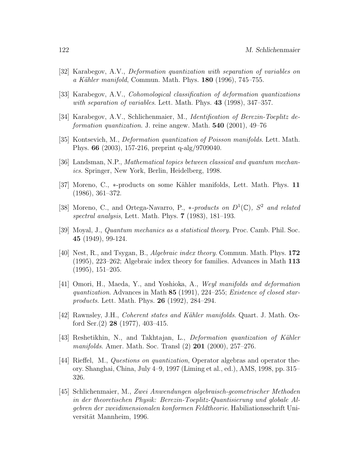- [32] Karabegov, A.V., Deformation quantization with separation of variables on a Kähler manifold, Commun. Math. Phys.  $180$  (1996), 745–755.
- [33] Karabegov, A.V., Cohomological classification of deformation quantizations with separation of variables. Lett. Math. Phys. 43 (1998), 347–357.
- [34] Karabegov, A.V., Schlichenmaier, M., Identification of Berezin-Toeplitz deformation quantization. J. reine angew. Math. 540 (2001), 49–76
- [35] Kontsevich, M., Deformation quantization of Poisson manifolds. Lett. Math. Phys. 66 (2003), 157-216, preprint q-alg/9709040.
- [36] Landsman, N.P., Mathematical topics between classical and quantum mechanics. Springer, New York, Berlin, Heidelberg, 1998.
- [37] Moreno, C., ∗-products on some K¨ahler manifolds, Lett. Math. Phys. 11 (1986), 361–372.
- [38] Moreno, C., and Ortega-Navarro, P., \*-products on  $D^1(\mathbb{C})$ ,  $S^2$  and related spectral analysis, Lett. Math. Phys. 7 (1983), 181–193.
- [39] Moyal, J., Quantum mechanics as a statistical theory. Proc. Camb. Phil. Soc. 45 (1949), 99-124.
- [40] Nest, R., and Tsygan, B., Algebraic index theory. Commun. Math. Phys. 172 (1995), 223–262; Algebraic index theory for families. Advances in Math 113 (1995), 151–205.
- [41] Omori, H., Maeda, Y., and Yoshioka, A., Weyl manifolds and deformation quantization. Advances in Math 85 (1991), 224–255; Existence of closed starproducts. Lett. Math. Phys. 26 (1992), 284–294.
- [42] Rawnsley, J.H., *Coherent states and Kähler manifolds*. Quart. J. Math. Oxford Ser. $(2)$  **28** (1977), 403-415.
- [43] Reshetikhin, N., and Takhtajan, L., *Deformation quantization of Kähler* manifolds. Amer. Math. Soc. Transl (2) 201 (2000), 257–276.
- [44] Rieffel, M., Questions on quantization, Operator algebras and operator theory. Shanghai, China, July 4–9, 1997 (Liming et al., ed.), AMS, 1998, pp. 315– 326.
- [45] Schlichenmaier, M., Zwei Anwendungen algebraisch-geometrischer Methoden in der theoretischen Physik: Berezin-Toeplitz-Quantisierung und globale Algebren der zweidimensionalen konformen Feldtheorie. Habiliationsschrift Universität Mannheim, 1996.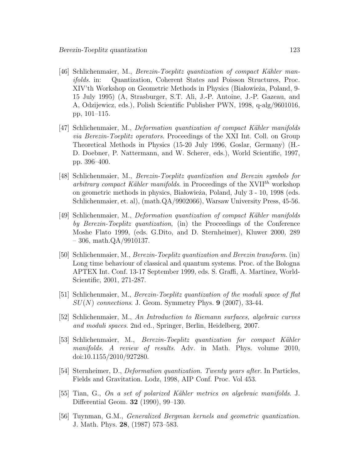- [46] Schlichenmaier, M., *Berezin-Toeplitz quantization of compact Kähler man*ifolds. in: Quantization, Coherent States and Poisson Structures, Proc. XIV'th Workshop on Geometric Methods in Physics (Białowieża, Poland, 9-15 July 1995) (A, Strasburger, S.T. Ali, J.-P. Antoine, J.-P. Gazeau, and A, Odzijewicz, eds.), Polish Scientific Publisher PWN, 1998, q-alg/9601016, pp, 101–115.
- [47] Schlichenmaier, M., *Deformation quantization of compact Kähler manifolds* via Berezin-Toeplitz operators. Proceedings of the XXI Int. Coll. on Group Theoretical Methods in Physics (15-20 July 1996, Goslar, Germany) (H.- D. Doebner, P. Nattermann, and W. Scherer, eds.), World Scientific, 1997, pp. 396–400.
- [48] Schlichenmaier, M., Berezin-Toeplitz quantization and Berezin symbols for arbitrary compact Kähler manifolds. in Proceedings of the XVII<sup>th</sup> workshop on geometric methods in physics, Białowieża, Poland, July 3 - 10, 1998 (eds. Schlichenmaier, et. al), (math.QA/9902066), Warsaw University Press, 45-56.
- [49] Schlichenmaier, M., *Deformation quantization of compact Kähler manifolds* by Berezin-Toeplitz quantization, (in) the Proceedings of the Conference Moshe Flato 1999, (eds. G.Dito, and D. Sternheimer), Kluwer 2000, 289  $-306$ , math.QA/9910137.
- [50] Schlichenmaier, M., Berezin-Toeplitz quantization and Berezin transform. (in) Long time behaviour of classical and quantum systems. Proc. of the Bologna APTEX Int. Conf. 13-17 September 1999, eds. S. Graffi, A. Martinez, World-Scientific, 2001, 271-287.
- [51] Schlichenmaier, M., Berezin-Toeplitz quantization of the moduli space of flat  $SU(N)$  connections. J. Geom. Symmetry Phys. 9 (2007), 33-44.
- [52] Schlichenmaier, M., An Introduction to Riemann surfaces, algebraic curves and moduli spaces. 2nd ed., Springer, Berlin, Heidelberg, 2007.
- [53] Schlichenmaier, M., *Berezin-Toeplitz quantization for compact Kähler* manifolds. A review of results. Adv. in Math. Phys. volume 2010, doi:10.1155/2010/927280.
- [54] Sternheimer, D., Deformation quantization. Twenty years after. In Particles, Fields and Gravitation. Lodz, 1998, AIP Conf. Proc. Vol 453.
- [55] Tian, G., On a set of polarized Kähler metrics on algebraic manifolds. J. Differential Geom. 32 (1990), 99–130.
- [56] Tuynman, G.M., Generalized Bergman kernels and geometric quantization. J. Math. Phys. 28, (1987) 573–583.